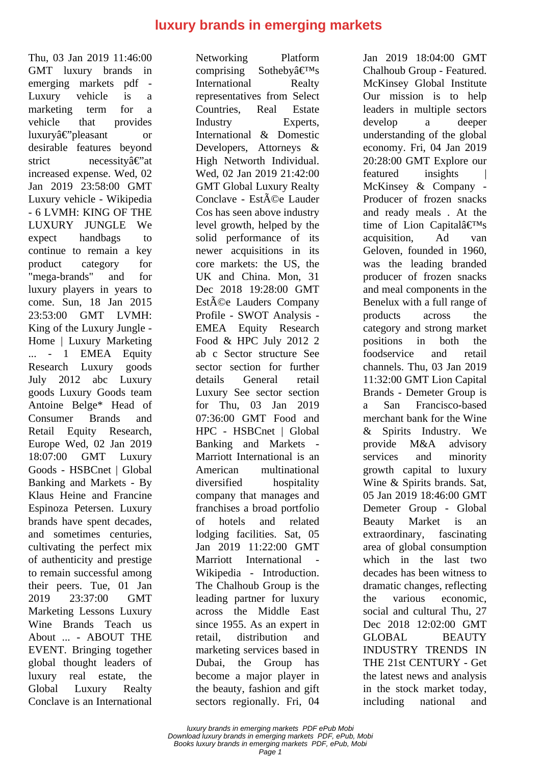## **luxury brands in emerging markets**

Thu, 03 Jan 2019 11:46:00 GMT luxury brands in emerging markets pdf - Luxury vehicle is a marketing term for a vehicle that provides  $luxurv\hat{a} \in c'v$  be a sample or desirable features beyond strict necessity $\hat{a} \in \hat{a}$ increased expense. Wed, 02 Jan 2019 23:58:00 GMT Luxury vehicle - Wikipedia - 6 LVMH: KING OF THE LUXURY JUNGLE We expect handbags to continue to remain a key product category for "mega-brands" and for luxury players in years to come. Sun, 18 Jan 2015 23:53:00 GMT LVMH: King of the Luxury Jungle - Home | Luxury Marketing ... - 1 EMEA Equity Research Luxury goods July 2012 abc Luxury goods Luxury Goods team Antoine Belge\* Head of Consumer Brands and Retail Equity Research, Europe Wed, 02 Jan 2019 18:07:00 GMT Luxury Goods - HSBCnet | Global Banking and Markets - By Klaus Heine and Francine Espinoza Petersen. Luxury brands have spent decades, and sometimes centuries, cultivating the perfect mix of authenticity and prestige to remain successful among their peers. Tue, 01 Jan 2019 23:37:00 GMT Marketing Lessons Luxury Wine Brands Teach us About ... - ABOUT THE EVENT. Bringing together global thought leaders of luxury real estate, the Global Luxury Realty Conclave is an International

Networking Platform comprising Sotheby $\hat{a} \in T^{M}S$ International Realty representatives from Select Countries, Real Estate Industry Experts, International & Domestic Developers, Attorneys & High Networth Individual. Wed, 02 Jan 2019 21:42:00 GMT Global Luxury Realty Conclave - Est $\tilde{A}$ ©e Lauder Cos has seen above industry level growth, helped by the solid performance of its newer acquisitions in its core markets: the US, the UK and China. Mon, 31 Dec 2018 19:28:00 GMT Est $\tilde{A}$ ©e Lauders Company Profile - SWOT Analysis - EMEA Equity Research Food & HPC July 2012 2 ab c Sector structure See sector section for further details General retail Luxury See sector section for Thu, 03 Jan 2019 07:36:00 GMT Food and HPC - HSBCnet | Global Banking and Markets - Marriott International is an American multinational diversified hospitality company that manages and franchises a broad portfolio of hotels and related lodging facilities. Sat, 05 Jan 2019 11:22:00 GMT Marriott International Wikipedia - Introduction. The Chalhoub Group is the leading partner for luxury across the Middle East since 1955. As an expert in retail, distribution and marketing services based in Dubai, the Group has become a major player in the beauty, fashion and gift sectors regionally. Fri, 04

Jan 2019 18:04:00 GMT Chalhoub Group - Featured. McKinsey Global Institute Our mission is to help leaders in multiple sectors develop a deeper understanding of the global economy. Fri, 04 Jan 2019 20:28:00 GMT Explore our featured insights | McKinsey & Company - Producer of frozen snacks and ready meals . At the time of Lion Capital $\hat{a} \in T^{M}s$ acquisition, Ad van Geloven, founded in 1960, was the leading branded producer of frozen snacks and meal components in the Benelux with a full range of products across the category and strong market positions in both the foodservice and retail channels. Thu, 03 Jan 2019 11:32:00 GMT Lion Capital Brands - Demeter Group is a San Francisco-based merchant bank for the Wine & Spirits Industry. We provide M&A advisory services and minority growth capital to luxury Wine & Spirits brands. Sat, 05 Jan 2019 18:46:00 GMT Demeter Group - Global Beauty Market is an extraordinary, fascinating area of global consumption which in the last two decades has been witness to dramatic changes, reflecting the various economic, social and cultural Thu, 27 Dec 2018 12:02:00 GMT GLOBAL BEAUTY INDUSTRY TRENDS IN THE 21st CENTURY - Get the latest news and analysis in the stock market today, including national and